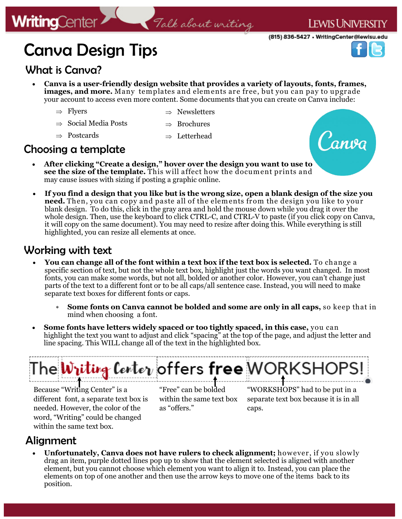## Canva Design Tips

#### What is Canva?

**WritingCenter** 

 **Canva is a user-friendly design website that provides a variety of layouts, fonts, frames, images, and more.** Many templates and elements are free, but you can pay to upgrade your account to access even more content. Some documents that you can create on Canva include:

Talk about writing

 $\Rightarrow$  Flyers

- $\Rightarrow$  Newsletters
- $\Rightarrow$  Social Media Posts
- $\Rightarrow$  Brochures
- $\Rightarrow$  Postcards
- $\Rightarrow$  Letterhead

#### Choosing a template

- **After clicking "Create a design," hover over the design you want to use to see the size of the template.** This will affect how the document prints and may cause issues with sizing if posting a graphic online.
- **If you find a design that you like but is the wrong size, open a blank design of the size you need.** Then, you can copy and paste all of the elem ents from the design you like to your blank design. To do this, click in the gray area and hold the mouse down while you drag it over the whole design. Then, use the keyboard to click CTRL-C, and CTRL-V to paste (if you click copy on Canva, it will copy on the same document). You may need to resize after doing this. While everything is still highlighted, you can resize all elements at once.

#### Working with text

- **You can change all of the font within a text box if the text box is selected.** To change a specific section of text, but not the whole text box, highlight just the words you want changed. In most fonts, you can make some words, but not all, bolded or another color. However, you can't change just parts of the text to a different font or to be all caps/all sentence case. Instead, you will need to make separate text boxes for different fonts or caps.
	- **Some fonts on Canva cannot be bolded and some are only in all caps,** so keep that in mind when choosing a font.
- **Some fonts have letters widely spaced or too tightly spaced, in this case,** you can highlight the text you want to adjust and click "spacing" at the top of the page, and adjust the letter and line spacing. This WILL change all of the text in the highlighted box.

# The **Witting Center** offers **free** MORKSH

Because "Writing Center" is a different font, a separate text box is needed. However, the color of the word, "Writing" could be changed within the same text box.

"Free" can be bolded within the same text box as "offers."

"WORKSHOPS" had to be put in a separate text box because it is in all caps.

#### Alignment

• Unfortunately, Canva does not have rulers to check alignment; however, if you slowly drag an item, purple dotted lines pop up to show that the element selected is aligned with another element, but you cannot choose which element you want to align it to. Instead, you can place the elements on top of one another and then use the arrow keys to move one of the items back to its position.





(815) 836-5427 • WritingCenter@lewisu.edu